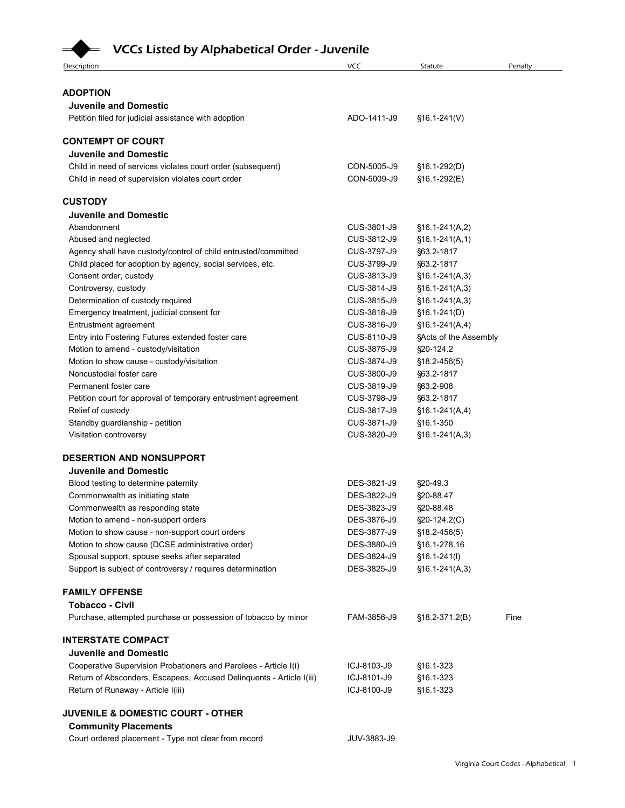## VCCs Listed by Alphabetical Order - Juvenile

| <b>VCCs Listed by Alphabetical Order - Juvenile</b><br>Description                                         | <b>VCC</b>                 |                                      |                                       |
|------------------------------------------------------------------------------------------------------------|----------------------------|--------------------------------------|---------------------------------------|
|                                                                                                            |                            |                                      |                                       |
|                                                                                                            |                            | Statute                              | Penalty                               |
| <b>ADOPTION</b>                                                                                            |                            |                                      |                                       |
| <b>Juvenile and Domestic</b>                                                                               |                            |                                      |                                       |
| Petition filed for judicial assistance with adoption                                                       | ADO-1411-J9                | $$16.1-241(V)$                       |                                       |
| <b>CONTEMPT OF COURT</b>                                                                                   |                            |                                      |                                       |
| <b>Juvenile and Domestic</b>                                                                               |                            |                                      |                                       |
| Child in need of services violates court order (subsequent)                                                | CON-5005-J9                | §16.1-292(D)                         |                                       |
| Child in need of supervision violates court order                                                          | CON-5009-J9                | §16.1-292(E)                         |                                       |
| <b>CUSTODY</b>                                                                                             |                            |                                      |                                       |
| <b>Juvenile and Domestic</b>                                                                               |                            |                                      |                                       |
| Abandonment                                                                                                | CUS-3801-J9                | $§16.1-241(A,2)$                     |                                       |
| Abused and neglected                                                                                       | CUS-3812-J9                | $§16.1-241(A,1)$                     |                                       |
| Agency shall have custody/control of child entrusted/committed                                             | CUS-3797-J9                | §63.2-1817                           |                                       |
| Child placed for adoption by agency, social services, etc.                                                 | CUS-3799-J9                | §63.2-1817                           |                                       |
| Consent order, custody                                                                                     | CUS-3813-J9                | $§16.1-241(A,3)$                     |                                       |
| Controversy, custody<br>Determination of custody required                                                  | CUS-3814-J9<br>CUS-3815-J9 | $§16.1-241(A,3)$<br>$§16.1-241(A,3)$ |                                       |
| Emergency treatment, judicial consent for                                                                  | CUS-3818-J9                | $$16.1-241(D)$                       |                                       |
| Entrustment agreement                                                                                      | CUS-3816-J9                | $$16.1-241(A,4)$                     |                                       |
| Entry into Fostering Futures extended foster care                                                          | CUS-8110-J9                | §Acts of the Assembly                |                                       |
| Motion to amend - custody/visitation                                                                       | CUS-3875-J9                | §20-124.2                            |                                       |
| Motion to show cause - custody/visitation                                                                  | CUS-3874-J9                | $$18.2 - 456(5)$                     |                                       |
| Noncustodial foster care                                                                                   | CUS-3800-J9                | §63.2-1817                           |                                       |
| Permanent foster care                                                                                      | CUS-3819-J9                | §63.2-908                            |                                       |
| Petition court for approval of temporary entrustment agreement                                             | CUS-3798-J9                | §63.2-1817                           |                                       |
| Relief of custody                                                                                          | CUS-3817-J9                | $$16.1-241(A,4)$                     |                                       |
| Standby guardianship - petition<br>Visitation controversy                                                  | CUS-3871-J9<br>CUS-3820-J9 | §16.1-350<br>$$16.1-241(A,3)$        |                                       |
|                                                                                                            |                            |                                      |                                       |
| DESERTION AND NONSUPPORT                                                                                   |                            |                                      |                                       |
| <b>Juvenile and Domestic</b>                                                                               |                            |                                      |                                       |
| Blood testing to determine paternity                                                                       | DES-3821-J9                | §20-49.3                             |                                       |
| Commonwealth as initiating state                                                                           | DES-3822-J9                | §20-88.47                            |                                       |
| Commonwealth as responding state                                                                           | DES-3823-J9                | §20-88.48                            |                                       |
| Motion to amend - non-support orders<br>Motion to show cause - non-support court orders                    | DES-3876-J9<br>DES-3877-J9 | §20-124.2(C)<br>$$18.2 - 456(5)$     |                                       |
| Motion to show cause (DCSE administrative order)                                                           | DES-3880-J9                | §16.1-278.16                         |                                       |
| Spousal support, spouse seeks after separated                                                              | DES-3824-J9                | $$16.1-241(l)$                       |                                       |
| Support is subject of controversy / requires determination                                                 | DES-3825-J9                | $$16.1-241(A,3)$                     |                                       |
|                                                                                                            |                            |                                      |                                       |
| <b>FAMILY OFFENSE</b>                                                                                      |                            |                                      |                                       |
| <b>Tobacco - Civil</b><br>Purchase, attempted purchase or possession of tobacco by minor                   | FAM-3856-J9                | $$18.2-371.2(B)$                     | Fine                                  |
|                                                                                                            |                            |                                      |                                       |
| <b>INTERSTATE COMPACT</b>                                                                                  |                            |                                      |                                       |
| <b>Juvenile and Domestic</b>                                                                               |                            |                                      |                                       |
| Cooperative Supervision Probationers and Parolees - Article I(i)                                           | ICJ-8103-J9                | §16.1-323                            |                                       |
| Return of Absconders, Escapees, Accused Delinquents - Article I(iii)<br>Return of Runaway - Article I(iii) | ICJ-8101-J9<br>ICJ-8100-J9 | §16.1-323<br>§16.1-323               |                                       |
|                                                                                                            |                            |                                      |                                       |
| JUVENILE & DOMESTIC COURT - OTHER                                                                          |                            |                                      |                                       |
| <b>Community Placements</b>                                                                                |                            |                                      |                                       |
| Court ordered placement - Type not clear from record                                                       | JUV-3883-J9                |                                      |                                       |
|                                                                                                            |                            |                                      |                                       |
|                                                                                                            |                            |                                      | Virginia Court Codes - Alphabetical 1 |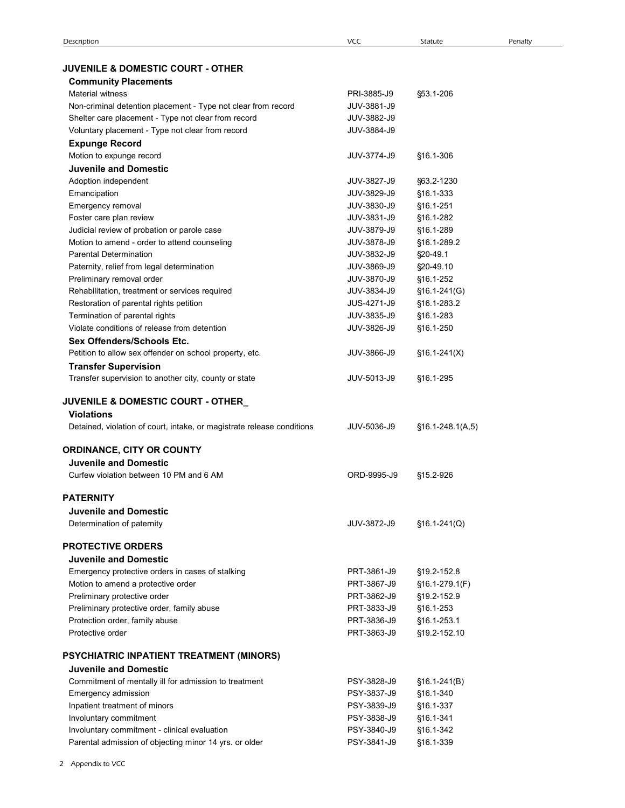| <b>JUVENILE &amp; DOMESTIC COURT - OTHER</b> |  |
|----------------------------------------------|--|
|                                              |  |

| Description                                                                                 | <b>VCC</b>                 | Statute                       | Penalty |
|---------------------------------------------------------------------------------------------|----------------------------|-------------------------------|---------|
| <b>JUVENILE &amp; DOMESTIC COURT - OTHER</b>                                                |                            |                               |         |
| <b>Community Placements</b>                                                                 |                            |                               |         |
| <b>Material witness</b>                                                                     | PRI-3885-J9                | §53.1-206                     |         |
| Non-criminal detention placement - Type not clear from record                               | JUV-3881-J9                |                               |         |
| Shelter care placement - Type not clear from record                                         | JUV-3882-J9                |                               |         |
| Voluntary placement - Type not clear from record                                            | JUV-3884-J9                |                               |         |
| <b>Expunge Record</b><br>Motion to expunge record                                           | JUV-3774-J9                | §16.1-306                     |         |
| <b>Juvenile and Domestic</b>                                                                |                            |                               |         |
| Adoption independent                                                                        | JUV-3827-J9                | §63.2-1230                    |         |
| Emancipation                                                                                | JUV-3829-J9                | §16.1-333                     |         |
| Emergency removal                                                                           | JUV-3830-J9                | §16.1-251                     |         |
| Foster care plan review                                                                     | JUV-3831-J9                | §16.1-282                     |         |
| Judicial review of probation or parole case<br>Motion to amend - order to attend counseling | JUV-3879-J9<br>JUV-3878-J9 | §16.1-289<br>§16.1-289.2      |         |
| <b>Parental Determination</b>                                                               | JUV-3832-J9                | §20-49.1                      |         |
| Paternity, relief from legal determination                                                  | JUV-3869-J9                | §20-49.10                     |         |
| Preliminary removal order                                                                   | JUV-3870-J9                | §16.1-252                     |         |
| Rehabilitation, treatment or services required                                              | JUV-3834-J9                | $$16.1-241$ (G)               |         |
| Restoration of parental rights petition<br>Termination of parental rights                   | JUS-4271-J9<br>JUV-3835-J9 | §16.1-283.2<br>§16.1-283      |         |
| Violate conditions of release from detention                                                | JUV-3826-J9                | §16.1-250                     |         |
| Sex Offenders/Schools Etc.                                                                  |                            |                               |         |
| Petition to allow sex offender on school property, etc.                                     | JUV-3866-J9                | $$16.1-241(X)$                |         |
| <b>Transfer Supervision</b>                                                                 |                            |                               |         |
| Transfer supervision to another city, county or state                                       | JUV-5013-J9                | §16.1-295                     |         |
| <b>JUVENILE &amp; DOMESTIC COURT - OTHER_</b>                                               |                            |                               |         |
| <b>Violations</b>                                                                           |                            |                               |         |
| Detained, violation of court, intake, or magistrate release conditions                      | JUV-5036-J9                | $$16.1-248.1(A,5)$            |         |
| <b>ORDINANCE, CITY OR COUNTY</b>                                                            |                            |                               |         |
| <b>Juvenile and Domestic</b>                                                                |                            |                               |         |
| Curfew violation between 10 PM and 6 AM                                                     | ORD-9995-J9                | §15.2-926                     |         |
| <b>PATERNITY</b>                                                                            |                            |                               |         |
| <b>Juvenile and Domestic</b>                                                                |                            |                               |         |
| Determination of paternity                                                                  | JUV-3872-J9                | $§16.1-241(Q)$                |         |
|                                                                                             |                            |                               |         |
| <b>PROTECTIVE ORDERS</b>                                                                    |                            |                               |         |
| <b>Juvenile and Domestic</b>                                                                |                            |                               |         |
| Emergency protective orders in cases of stalking<br>Motion to amend a protective order      | PRT-3861-J9<br>PRT-3867-J9 | §19.2-152.8<br>§16.1-279.1(F) |         |
| Preliminary protective order                                                                | PRT-3862-J9                | §19.2-152.9                   |         |
| Preliminary protective order, family abuse                                                  | PRT-3833-J9                | §16.1-253                     |         |
| Protection order, family abuse                                                              | PRT-3836-J9                | §16.1-253.1                   |         |
| Protective order                                                                            | PRT-3863-J9                | §19.2-152.10                  |         |
| PSYCHIATRIC INPATIENT TREATMENT (MINORS)                                                    |                            |                               |         |
| <b>Juvenile and Domestic</b>                                                                |                            |                               |         |
| Commitment of mentally ill for admission to treatment                                       | PSY-3828-J9                | $§16.1-241(B)$                |         |
| Emergency admission                                                                         | PSY-3837-J9                | §16.1-340                     |         |
| Inpatient treatment of minors                                                               | PSY-3839-J9                | §16.1-337                     |         |
| Involuntary commitment                                                                      | PSY-3838-J9                | §16.1-341                     |         |
| Involuntary commitment - clinical evaluation                                                | PSY-3840-J9                | §16.1-342                     |         |
| Parental admission of objecting minor 14 yrs. or older                                      | PSY-3841-J9                | §16.1-339                     |         |